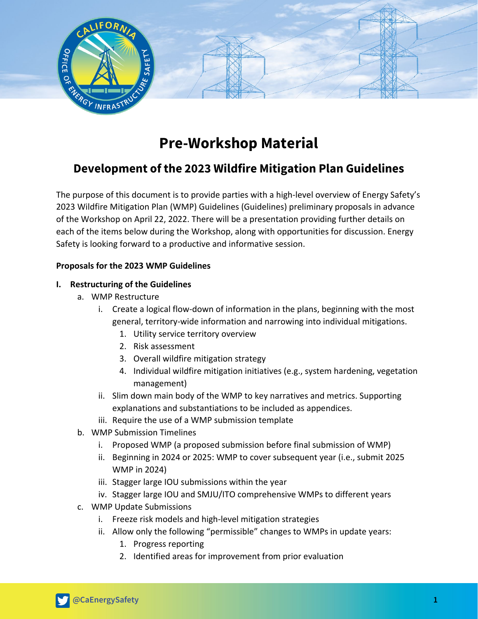

# **Pre-Workshop Material**

## **Development of the 2023 Wildfire Mitigation Plan Guidelines**

The purpose of this document is to provide parties with a high-level overview of Energy Safety's 2023 Wildfire Mitigation Plan (WMP) Guidelines (Guidelines) preliminary proposals in advance of the Workshop on April 22, 2022. There will be a presentation providing further details on each of the items below during the Workshop, along with opportunities for discussion. Energy Safety is looking forward to a productive and informative session.

### **Proposals for the 2023 WMP Guidelines**

#### **I. Restructuring of the Guidelines**

- a. WMP Restructure
	- i. Create a logical flow-down of information in the plans, beginning with the most general, territory-wide information and narrowing into individual mitigations.
		- 1. Utility service territory overview
		- 2. Risk assessment
		- 3. Overall wildfire mitigation strategy
		- 4. Individual wildfire mitigation initiatives (e.g., system hardening, vegetation management)
	- ii. Slim down main body of the WMP to key narratives and metrics. Supporting explanations and substantiations to be included as appendices.
	- iii. Require the use of a WMP submission template
- b. WMP Submission Timelines
	- i. Proposed WMP (a proposed submission before final submission of WMP)
	- ii. Beginning in 2024 or 2025: WMP to cover subsequent year (i.e., submit 2025 WMP in 2024)
	- iii. Stagger large IOU submissions within the year
	- iv. Stagger large IOU and SMJU/ITO comprehensive WMPs to different years
- c. WMP Update Submissions
	- i. Freeze risk models and high-level mitigation strategies
	- ii. Allow only the following "permissible" changes to WMPs in update years:
		- 1. Progress reporting
		- 2. Identified areas for improvement from prior evaluation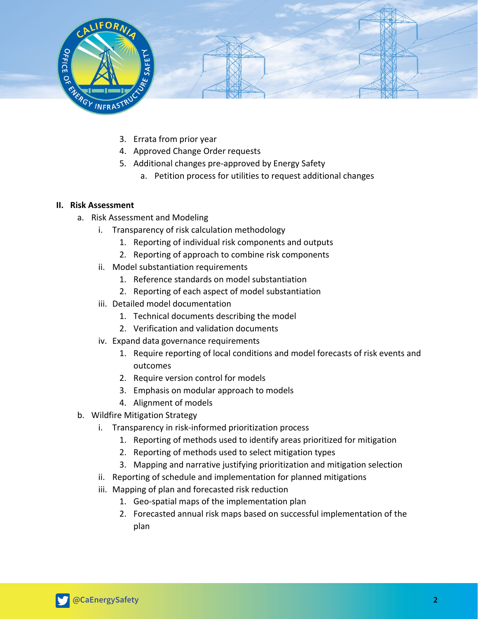

- 3. Errata from prior year
- 4. Approved Change Order requests
- 5. Additional changes pre-approved by Energy Safety
	- a. Petition process for utilities to request additional changes

#### **II. Risk Assessment**

- a. Risk Assessment and Modeling
	- i. Transparency of risk calculation methodology
		- 1. Reporting of individual risk components and outputs
		- 2. Reporting of approach to combine risk components
	- ii. Model substantiation requirements
		- 1. Reference standards on model substantiation
		- 2. Reporting of each aspect of model substantiation
	- iii. Detailed model documentation
		- 1. Technical documents describing the model
		- 2. Verification and validation documents
	- iv. Expand data governance requirements
		- 1. Require reporting of local conditions and model forecasts of risk events and outcomes
		- 2. Require version control for models
		- 3. Emphasis on modular approach to models
		- 4. Alignment of models
- b. Wildfire Mitigation Strategy
	- i. Transparency in risk-informed prioritization process
		- 1. Reporting of methods used to identify areas prioritized for mitigation
		- 2. Reporting of methods used to select mitigation types
		- 3. Mapping and narrative justifying prioritization and mitigation selection
	- ii. Reporting of schedule and implementation for planned mitigations
	- iii. Mapping of plan and forecasted risk reduction
		- 1. Geo-spatial maps of the implementation plan
		- 2. Forecasted annual risk maps based on successful implementation of the plan